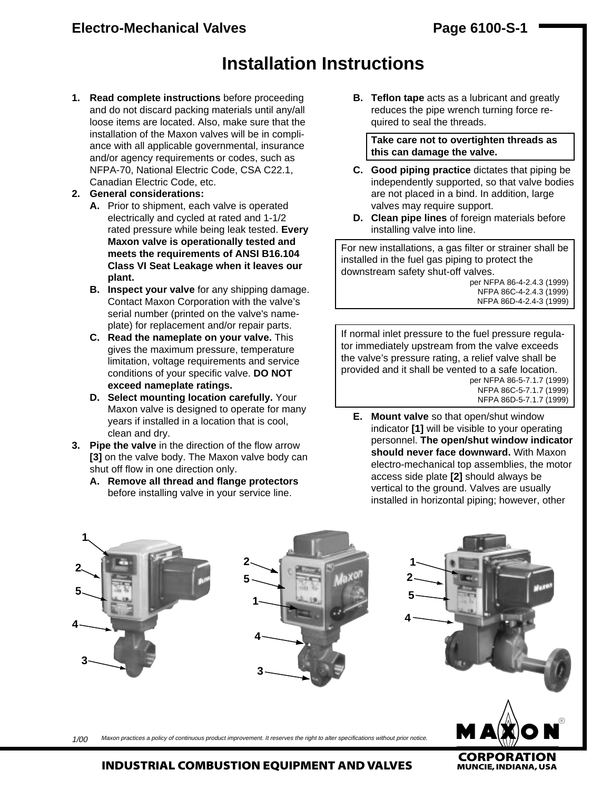# **Installation Instructions**

- **1. Read complete instructions** before proceeding and do not discard packing materials until any/all loose items are located. Also, make sure that the installation of the Maxon valves will be in compliance with all applicable governmental, insurance and/or agency requirements or codes, such as NFPA-70, National Electric Code, CSA C22.1, Canadian Electric Code, etc.
- **2. General considerations:**
	- **A.** Prior to shipment, each valve is operated electrically and cycled at rated and 1-1/2 rated pressure while being leak tested. **Every Maxon valve is operationally tested and meets the requirements of ANSI B16.104 Class VI Seat Leakage when it leaves our plant.**
	- **B. Inspect your valve** for any shipping damage. Contact Maxon Corporation with the valve's serial number (printed on the valve's nameplate) for replacement and/or repair parts.
	- **C. Read the nameplate on your valve.** This gives the maximum pressure, temperature limitation, voltage requirements and service conditions of your specific valve. **DO NOT exceed nameplate ratings.**
	- **D. Select mounting location carefully.** Your Maxon valve is designed to operate for many years if installed in a location that is cool, clean and dry.
- **3. Pipe the valve** in the direction of the flow arrow **[3]** on the valve body. The Maxon valve body can shut off flow in one direction only.
	- **A. Remove all thread and flange protectors** before installing valve in your service line.

**B. Teflon tape** acts as a lubricant and greatly reduces the pipe wrench turning force required to seal the threads.

**Take care not to overtighten threads as this can damage the valve.**

- **C. Good piping practice** dictates that piping be independently supported, so that valve bodies are not placed in a bind. In addition, large valves may require support.
- **D. Clean pipe lines** of foreign materials before installing valve into line.

For new installations, a gas filter or strainer shall be installed in the fuel gas piping to protect the downstream safety shut-off valves.

per NFPA 86-4-2.4.3 (1999) NFPA 86C-4-2.4.3 (1999) NFPA 86D-4-2.4-3 (1999)

If normal inlet pressure to the fuel pressure regulator immediately upstream from the valve exceeds the valve's pressure rating, a relief valve shall be provided and it shall be vented to a safe location. per NFPA 86-5-7.1.7 (1999)

NFPA 86C-5-7.1.7 (1999) NFPA 86D-5-7.1.7 (1999)

**E. Mount valve** so that open/shut window indicator **[1]** will be visible to your operating personnel. **The open/shut window indicator should never face downward.** With Maxon electro-mechanical top assemblies, the motor access side plate **[2]** should always be vertical to the ground. Valves are usually installed in horizontal piping; however, other

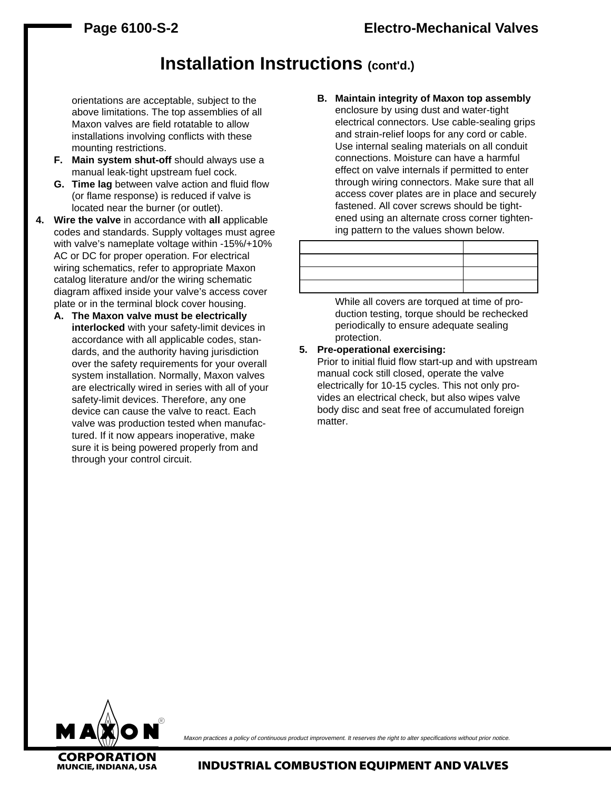# **Installation Instructions (cont'd.)**

orientations are acceptable, subject to the above limitations. The top assemblies of all Maxon valves are field rotatable to allow installations involving conflicts with these mounting restrictions.

- **F. Main system shut-off** should always use a manual leak-tight upstream fuel cock.
- **G. Time lag** between valve action and fluid flow (or flame response) is reduced if valve is located near the burner (or outlet).
- **4. Wire the valve** in accordance with **all** applicable codes and standards. Supply voltages must agree with valve's nameplate voltage within -15%/+10% AC or DC for proper operation. For electrical wiring schematics, refer to appropriate Maxon catalog literature and/or the wiring schematic diagram affixed inside your valve's access cover plate or in the terminal block cover housing.
	- **A. The Maxon valve must be electrically interlocked** with your safety-limit devices in accordance with all applicable codes, standards, and the authority having jurisdiction over the safety requirements for your overall system installation. Normally, Maxon valves are electrically wired in series with all of your safety-limit devices. Therefore, any one device can cause the valve to react. Each valve was production tested when manufactured. If it now appears inoperative, make sure it is being powered properly from and through your control circuit.

**B. Maintain integrity of Maxon top assembly** enclosure by using dust and water-tight electrical connectors. Use cable-sealing grips and strain-relief loops for any cord or cable. Use internal sealing materials on all conduit connections. Moisture can have a harmful effect on valve internals if permitted to enter through wiring connectors. Make sure that all access cover plates are in place and securely fastened. All cover screws should be tightened using an alternate cross corner tightening pattern to the values shown below.

While all covers are torqued at time of production testing, torque should be rechecked periodically to ensure adequate sealing protection.

#### **5. Pre-operational exercising:**

Prior to initial fluid flow start-up and with upstream manual cock still closed, operate the valve electrically for 10-15 cycles. This not only provides an electrical check, but also wipes valve body disc and seat free of accumulated foreign matter.



Maxon practices a policy of continuous product improvement. It reserves the right to alter specifications without prior notice.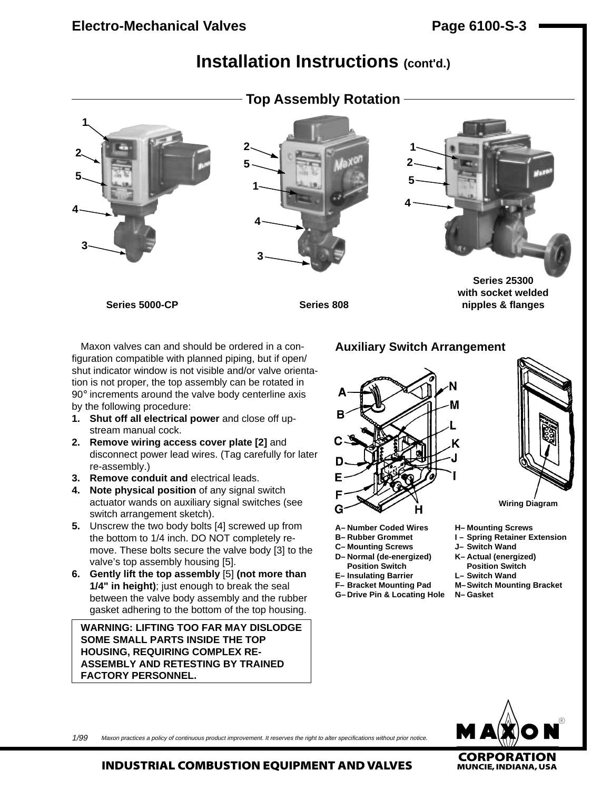# **Installation Instructions (cont'd.)**



Maxon valves can and should be ordered in a configuration compatible with planned piping, but if open/ shut indicator window is not visible and/or valve orientation is not proper, the top assembly can be rotated in 90° increments around the valve body centerline axis by the following procedure:

- **1. Shut off all electrical power** and close off upstream manual cock.
- **2. Remove wiring access cover plate [2]** and disconnect power lead wires. (Tag carefully for later re-assembly.)
- **3. Remove conduit and** electrical leads.
- **4. Note physical position** of any signal switch actuator wands on auxiliary signal switches (see switch arrangement sketch).
- **5.** Unscrew the two body bolts [4] screwed up from the bottom to 1/4 inch. DO NOT completely remove. These bolts secure the valve body [3] to the valve's top assembly housing [5].
- **6. Gently lift the top assembly** [5] **(not more than 1/4" in height)**; just enough to break the seal between the valve body assembly and the rubber gasket adhering to the bottom of the top housing.

**WARNING: LIFTING TOO FAR MAY DISLODGE SOME SMALL PARTS INSIDE THE TOP HOUSING, REQUIRING COMPLEX RE-ASSEMBLY AND RETESTING BY TRAINED FACTORY PERSONNEL.**

## **Auxiliary Switch Arrangement**

- **A– Number Coded Wires H– Mounting Screws**
- 
- **C– Mounting Screws J– Switch Wand**
- **D– Normal (de-energized) K– Actual (energized)**
- **Position Switch Position Switch**
- **E– Insulating Barrier L– Switch Wand**
- 
- **G– Drive Pin & Locating Hole N– Gasket**



**Wiring Diagram**

- 
- **I** Spring Retainer Extension
- 
- 
- 
- **F– Bracket Mounting Pad M–Switch Mounting Bracket**
	-



Maxon practices a policy of continuous product improvement. It reserves the right to alter specifications without prior notice. 1/99

**INDUSTRIAL COMBUSTION EQUIPMENT AND VALVES** 

**CORPORATION**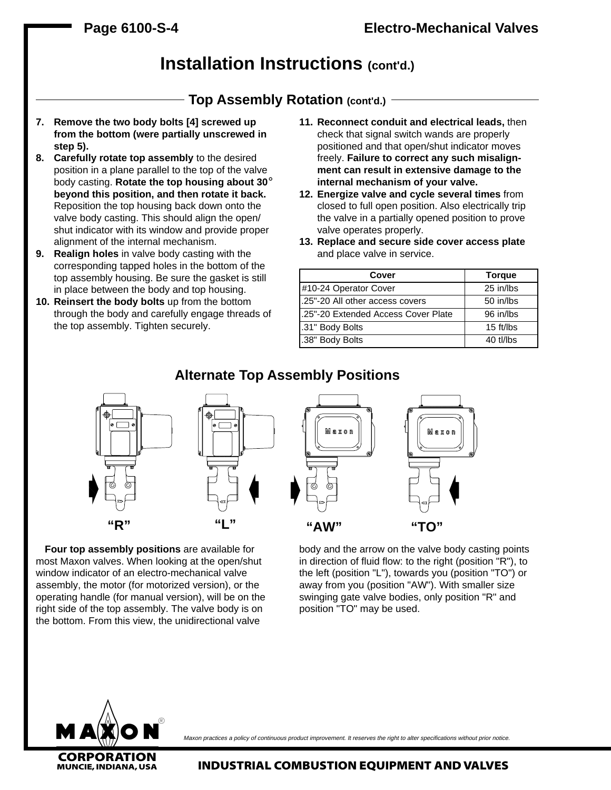# **Installation Instructions (cont'd.)**

## **Top Assembly Rotation (cont'd.)**

- **7. Remove the two body bolts [4] screwed up from the bottom (were partially unscrewed in step 5).**
- **8. Carefully rotate top assembly** to the desired position in a plane parallel to the top of the valve body casting. **Rotate the top housing about 30**° **beyond this position, and then rotate it back.** Reposition the top housing back down onto the valve body casting. This should align the open/ shut indicator with its window and provide proper alignment of the internal mechanism.
- **9. Realign holes** in valve body casting with the corresponding tapped holes in the bottom of the top assembly housing. Be sure the gasket is still in place between the body and top housing.
- **10. Reinsert the body bolts** up from the bottom through the body and carefully engage threads of the top assembly. Tighten securely.
- **11. Reconnect conduit and electrical leads,** then check that signal switch wands are properly positioned and that open/shut indicator moves freely. **Failure to correct any such misalignment can result in extensive damage to the internal mechanism of your valve.**
- **12. Energize valve and cycle several times** from closed to full open position. Also electrically trip the valve in a partially opened position to prove valve operates properly.
- **13. Replace and secure side cover access plate** and place valve in service.

| Cover                                | <b>Torque</b> |
|--------------------------------------|---------------|
| #10-24 Operator Cover                | 25 in/lbs     |
| 1.25"-20 All other access covers     | 50 in/lbs     |
| 1.25"-20 Extended Access Cover Plate | 96 in/lbs     |
| .31" Body Bolts                      | 15 ft/lbs     |
| .38" Body Bolts                      | 40 tl/lbs     |

## **Alternate Top Assembly Positions**



**"R" "L" "AW" "TO"**

**Four top assembly positions** are available for most Maxon valves. When looking at the open/shut window indicator of an electro-mechanical valve assembly, the motor (for motorized version), or the operating handle (for manual version), will be on the right side of the top assembly. The valve body is on the bottom. From this view, the unidirectional valve

body and the arrow on the valve body casting points in direction of fluid flow: to the right (position "R"), to the left (position "L"), towards you (position "TO") or away from you (position "AW"). With smaller size swinging gate valve bodies, only position "R" and position "TO" may be used.



Maxon practices a policy of continuous product improvement. It reserves the right to alter specifications without prior notice.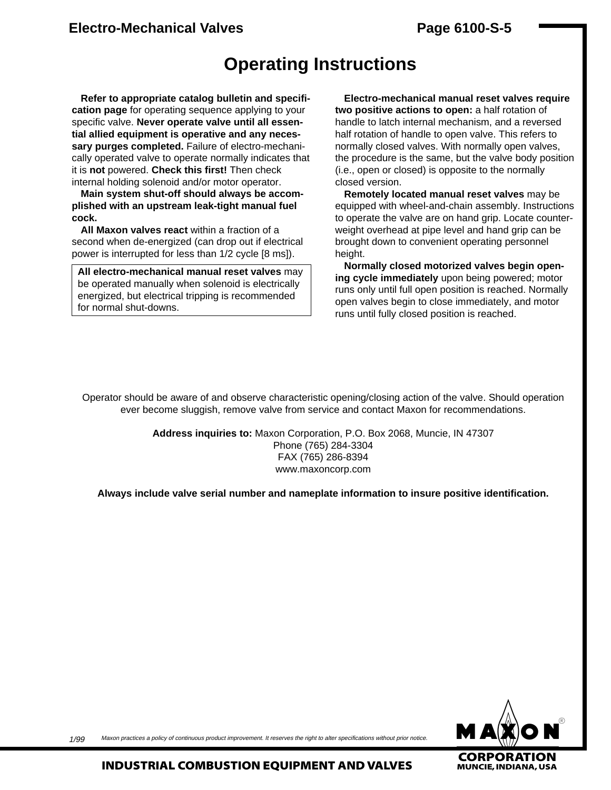## **Electro-Mechanical Valves Page 6100-S-5**

# **Operating Instructions**

**Refer to appropriate catalog bulletin and specification page** for operating sequence applying to your specific valve. **Never operate valve until all essential allied equipment is operative and any necessary purges completed.** Failure of electro-mechanically operated valve to operate normally indicates that it is **not** powered. **Check this first!** Then check internal holding solenoid and/or motor operator.

**Main system shut-off should always be accomplished with an upstream leak-tight manual fuel cock.**

**All Maxon valves react** within a fraction of a second when de-energized (can drop out if electrical power is interrupted for less than 1/2 cycle [8 ms]).

**All electro-mechanical manual reset valves** may be operated manually when solenoid is electrically energized, but electrical tripping is recommended for normal shut-downs.

**Electro-mechanical manual reset valves require two positive actions to open:** a half rotation of handle to latch internal mechanism, and a reversed half rotation of handle to open valve. This refers to normally closed valves. With normally open valves, the procedure is the same, but the valve body position (i.e., open or closed) is opposite to the normally closed version.

**Remotely located manual reset valves** may be equipped with wheel-and-chain assembly. Instructions to operate the valve are on hand grip. Locate counterweight overhead at pipe level and hand grip can be brought down to convenient operating personnel height.

**Normally closed motorized valves begin opening cycle immediately** upon being powered; motor runs only until full open position is reached. Normally open valves begin to close immediately, and motor runs until fully closed position is reached.

Operator should be aware of and observe characteristic opening/closing action of the valve. Should operation ever become sluggish, remove valve from service and contact Maxon for recommendations.

> **Address inquiries to:** Maxon Corporation, P.O. Box 2068, Muncie, IN 47307 Phone (765) 284-3304 FAX (765) 286-8394 www.maxoncorp.com

**Always include valve serial number and nameplate information to insure positive identification.**



Maxon practices a policy of continuous product improvement. It reserves the right to alter specifications without prior notice. 1/99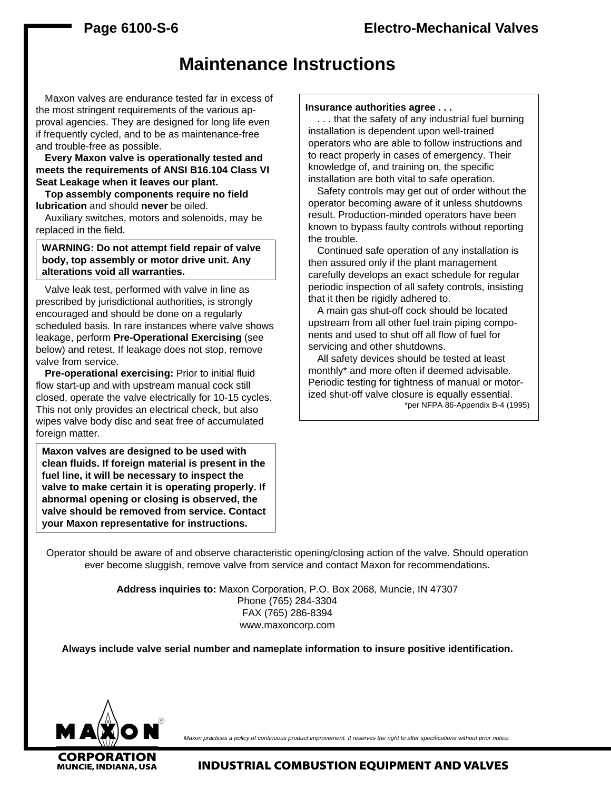# **Maintenance Instructions**

Maxon valves are endurance tested far in excess of the most stringent requirements of the various approval agencies. They are designed for long life even if frequently cycled, and to be as maintenance-free and trouble-free as possible.

**Every Maxon valve is operationally tested and meets the requirements of ANSI B16.104 Class VI Seat Leakage when it leaves our plant.**

**Top assembly components require no field lubrication** and should **never** be oiled.

Auxiliary switches, motors and solenoids, may be replaced in the field.

**WARNING: Do not attempt field repair of valve body, top assembly or motor drive unit. Any alterations void all warranties.**

Valve leak test, performed with valve in line as prescribed by jurisdictional authorities, is strongly encouraged and should be done on a regularly scheduled basis. In rare instances where valve shows leakage, perform **Pre-Operational Exercising** (see below) and retest. If leakage does not stop, remove valve from service.

**Pre-operational exercising:** Prior to initial fluid flow start-up and with upstream manual cock still closed, operate the valve electrically for 10-15 cycles. This not only provides an electrical check, but also wipes valve body disc and seat free of accumulated foreign matter.

**Maxon valves are designed to be used with clean fluids. If foreign material is present in the fuel line, it will be necessary to inspect the valve to make certain it is operating properly. If abnormal opening or closing is observed, the valve should be removed from service. Contact your Maxon representative for instructions.**

#### **Insurance authorities agree . . .**

. . . that the safety of any industrial fuel burning installation is dependent upon well-trained operators who are able to follow instructions and to react properly in cases of emergency. Their knowledge of, and training on, the specific installation are both vital to safe operation.

Safety controls may get out of order without the operator becoming aware of it unless shutdowns result. Production-minded operators have been known to bypass faulty controls without reporting the trouble.

Continued safe operation of any installation is then assured only if the plant management carefully develops an exact schedule for regular periodic inspection of all safety controls, insisting that it then be rigidly adhered to.

A main gas shut-off cock should be located upstream from all other fuel train piping components and used to shut off all flow of fuel for servicing and other shutdowns.

All safety devices should be tested at least monthly\* and more often if deemed advisable. Periodic testing for tightness of manual or motorized shut-off valve closure is equally essential. \*per NFPA 86-Appendix B-4 (1995)

Operator should be aware of and observe characteristic opening/closing action of the valve. Should operation ever become sluggish, remove valve from service and contact Maxon for recommendations.

> **Address inquiries to:** Maxon Corporation, P.O. Box 2068, Muncie, IN 47307 Phone (765) 284-3304 FAX (765) 286-8394 www.maxoncorp.com

**Always include valve serial number and nameplate information to insure positive identification.**



Maxon practices a policy of continuous product improvement. It reserves the right to alter specifications without prior notice.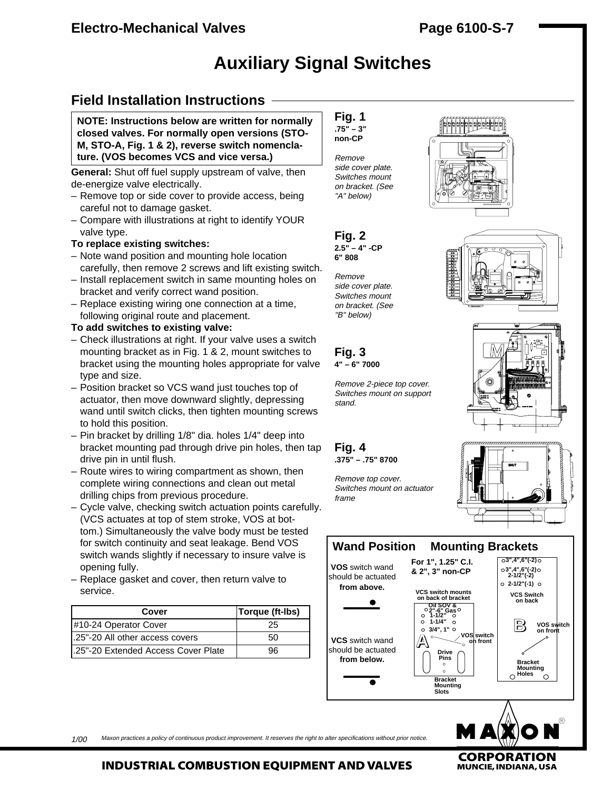# **Auxiliary Signal Switches**

# **Field Installation Instructions**

**NOTE: Instructions below are written for normally closed valves. For normally open versions (STO-M, STO-A, Fig. 1 & 2), reverse switch nomenclature. (VOS becomes VCS and vice versa.)**

**General:** Shut off fuel supply upstream of valve, then de-energize valve electrically.

- Remove top or side cover to provide access, being careful not to damage gasket.
- Compare with illustrations at right to identify YOUR valve type.

### **To replace existing switches:**

- Note wand position and mounting hole location carefully, then remove 2 screws and lift existing switch.
- Install replacement switch in same mounting holes on bracket and verify correct wand position.
- Replace existing wiring one connection at a time, following original route and placement.

#### **To add switches to existing valve:**

- Check illustrations at right. If your valve uses a switch mounting bracket as in Fig. 1 & 2, mount switches to bracket using the mounting holes appropriate for valve type and size.
- Position bracket so VCS wand just touches top of actuator, then move downward slightly, depressing wand until switch clicks, then tighten mounting screws to hold this position.
- Pin bracket by drilling 1/8" dia. holes 1/4" deep into bracket mounting pad through drive pin holes, then tap drive pin in until flush.
- Route wires to wiring compartment as shown, then complete wiring connections and clean out metal drilling chips from previous procedure.
- Cycle valve, checking switch actuation points carefully. (VCS actuates at top of stem stroke, VOS at bottom.) Simultaneously the valve body must be tested for switch continuity and seat leakage. Bend VOS switch wands slightly if necessary to insure valve is opening fully.
- Replace gasket and cover, then return valve to service.

| Cover                                | Torque (ft-Ibs) |
|--------------------------------------|-----------------|
| #10-24 Operator Cover                | 25              |
| 1.25"-20 All other access covers     | 50              |
| 1.25"-20 Extended Access Cover Plate | 96              |



Remove side cover plate. Switches mount on bracket. (See "A" below)



Remove side cover plate. Switches mount on bracket. (See "B" below)

**Fig. 3 4" – 6" 7000**

Remove 2-piece top cover. Switches mount on support stand.

**Fig. 4 .375" – .75" 8700**

Remove top cover. Switches mount on actuator frame













Maxon practices a policy of continuous product improvement. It reserves the right to alter specifications without prior notice.  $1/00$ 

## **INDUSTRIAL COMBUSTION EQUIPMENT AND VALVES**

**CORPORATION**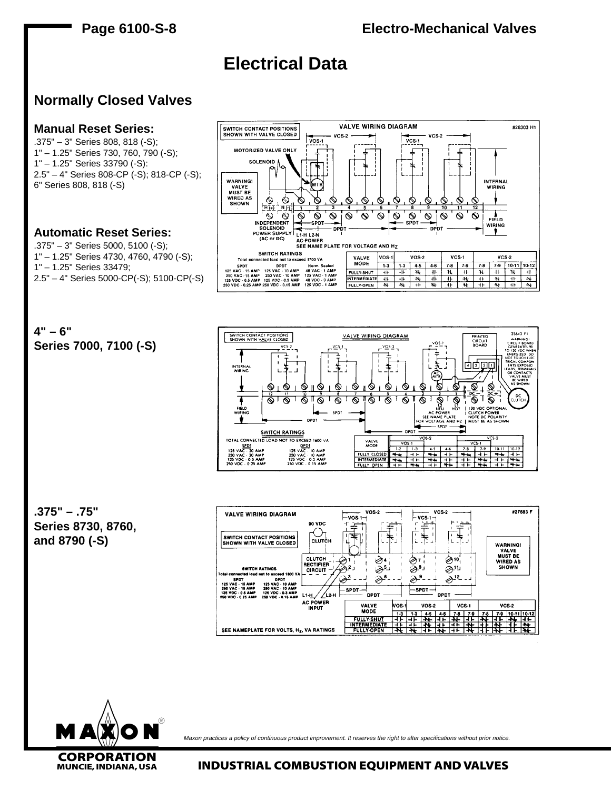

**CORPORATION**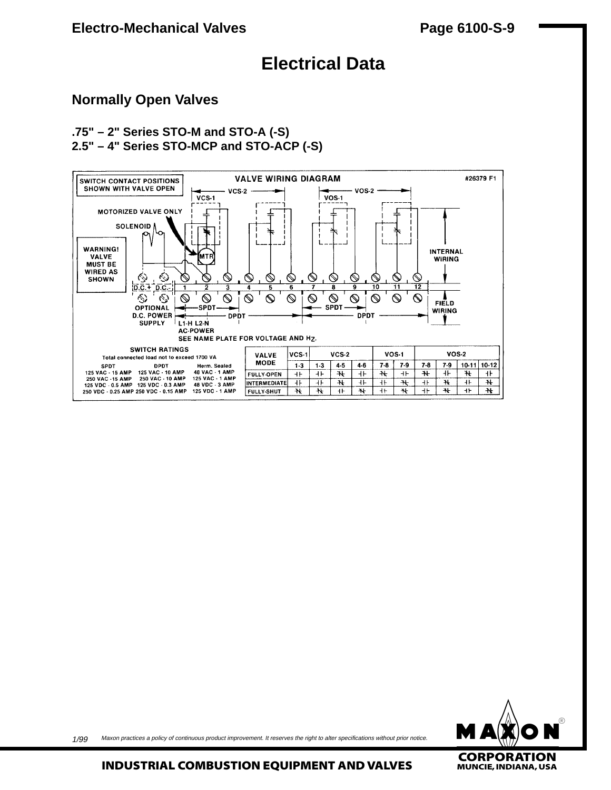# **Electrical Data**

## **Normally Open Valves**

## **.75" – 2" Series STO-M and STO-A (-S) 2.5" – 4" Series STO-MCP and STO-ACP (-S)**





1/99 Maxon practices a policy of continuous product improvement. It reserves the right to alter specifications without prior notice.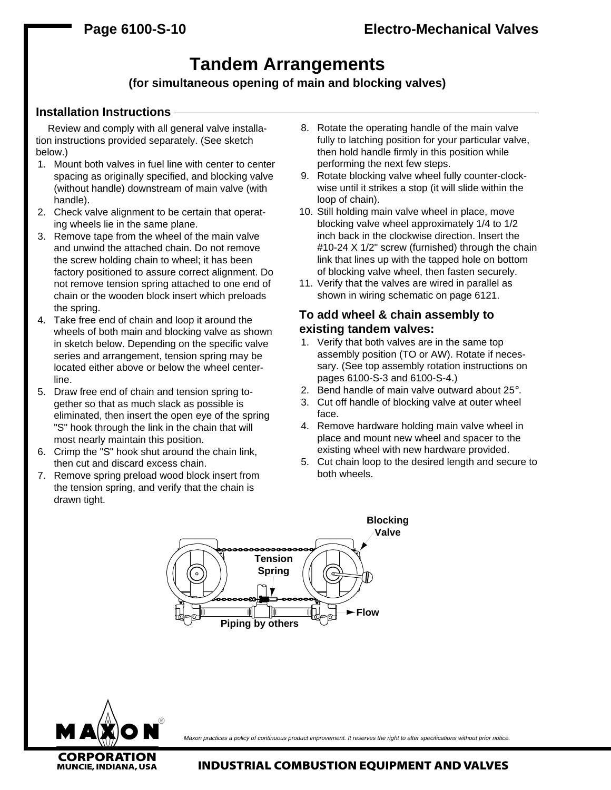# **Tandem Arrangements**

## **(for simultaneous opening of main and blocking valves)**

### **Installation Instructions**

Review and comply with all general valve installation instructions provided separately. (See sketch below.)

- 1. Mount both valves in fuel line with center to center spacing as originally specified, and blocking valve (without handle) downstream of main valve (with handle).
- 2. Check valve alignment to be certain that operating wheels lie in the same plane.
- 3. Remove tape from the wheel of the main valve and unwind the attached chain. Do not remove the screw holding chain to wheel; it has been factory positioned to assure correct alignment. Do not remove tension spring attached to one end of chain or the wooden block insert which preloads the spring.
- 4. Take free end of chain and loop it around the wheels of both main and blocking valve as shown in sketch below. Depending on the specific valve series and arrangement, tension spring may be located either above or below the wheel centerline.
- 5. Draw free end of chain and tension spring together so that as much slack as possible is eliminated, then insert the open eye of the spring "S" hook through the link in the chain that will most nearly maintain this position.
- 6. Crimp the "S" hook shut around the chain link, then cut and discard excess chain.
- 7. Remove spring preload wood block insert from the tension spring, and verify that the chain is drawn tight.
- 8. Rotate the operating handle of the main valve fully to latching position for your particular valve, then hold handle firmly in this position while performing the next few steps.
- 9. Rotate blocking valve wheel fully counter-clockwise until it strikes a stop (it will slide within the loop of chain).
- 10. Still holding main valve wheel in place, move blocking valve wheel approximately 1/4 to 1/2 inch back in the clockwise direction. Insert the #10-24 X 1/2" screw (furnished) through the chain link that lines up with the tapped hole on bottom of blocking valve wheel, then fasten securely.
- 11. Verify that the valves are wired in parallel as shown in wiring schematic on page 6121.

## **To add wheel & chain assembly to existing tandem valves:**

- 1. Verify that both valves are in the same top assembly position (TO or AW). Rotate if necessary. (See top assembly rotation instructions on pages 6100-S-3 and 6100-S-4.)
- 2. Bend handle of main valve outward about 25°.
- 3. Cut off handle of blocking valve at outer wheel face.
- 4. Remove hardware holding main valve wheel in place and mount new wheel and spacer to the existing wheel with new hardware provided.
- 5. Cut chain loop to the desired length and secure to both wheels.





Maxon practices a policy of continuous product improvement. It reserves the right to alter specifications without prior notice.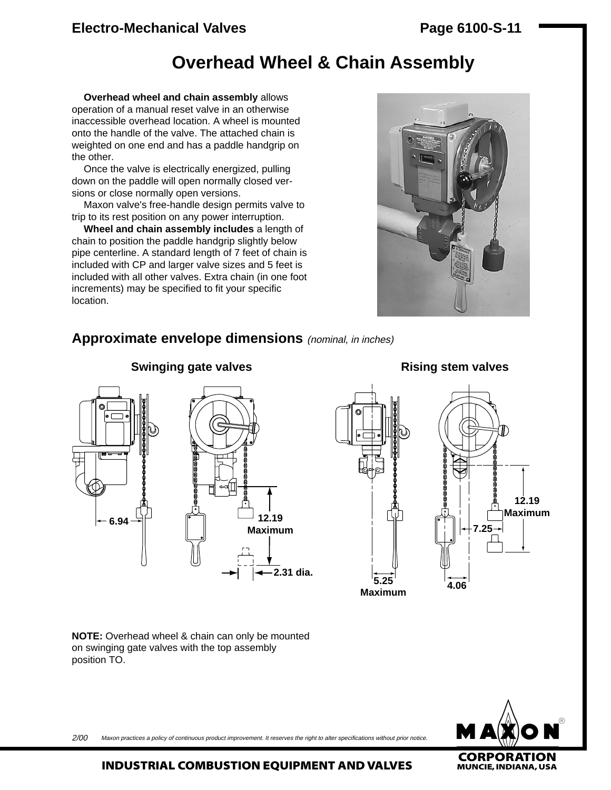## **Electro-Mechanical Valves Page 6100-S-11**

# **Overhead Wheel & Chain Assembly**

**Overhead wheel and chain assembly** allows operation of a manual reset valve in an otherwise inaccessible overhead location. A wheel is mounted onto the handle of the valve. The attached chain is weighted on one end and has a paddle handgrip on the other.

Once the valve is electrically energized, pulling down on the paddle will open normally closed versions or close normally open versions.

Maxon valve's free-handle design permits valve to trip to its rest position on any power interruption.

**Wheel and chain assembly includes** a length of chain to position the paddle handgrip slightly below pipe centerline. A standard length of 7 feet of chain is included with CP and larger valve sizes and 5 feet is included with all other valves. Extra chain (in one foot increments) may be specified to fit your specific location.



## **Approximate envelope dimensions** (nominal, in inches)



**Swinging gate valves Rising stem valves** 





**NOTE:** Overhead wheel & chain can only be mounted on swinging gate valves with the top assembly position TO.



Maxon practices a policy of continuous product improvement. It reserves the right to alter specifications without prior notice. 2/00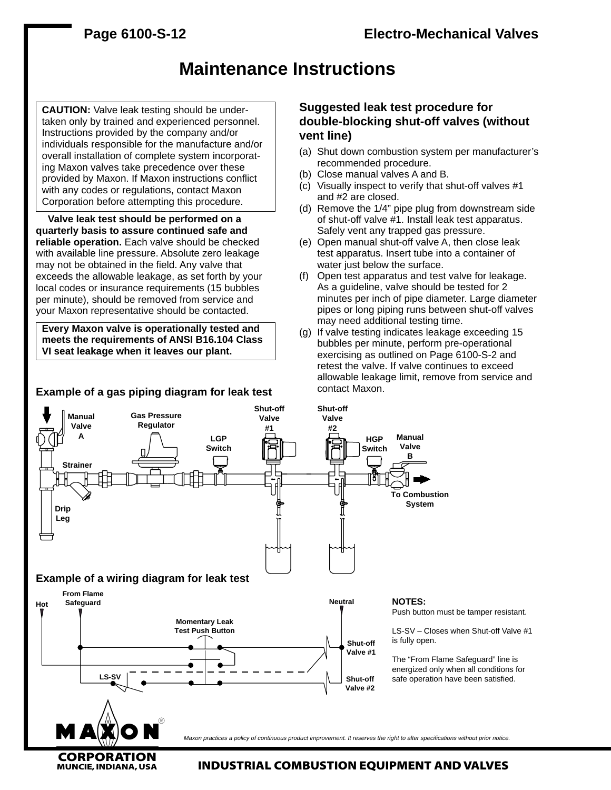# **Maintenance Instructions**

**CAUTION:** Valve leak testing should be undertaken only by trained and experienced personnel. Instructions provided by the company and/or individuals responsible for the manufacture and/or overall installation of complete system incorporating Maxon valves take precedence over these provided by Maxon. If Maxon instructions conflict with any codes or regulations, contact Maxon Corporation before attempting this procedure.

**Valve leak test should be performed on a quarterly basis to assure continued safe and reliable operation.** Each valve should be checked with available line pressure. Absolute zero leakage may not be obtained in the field. Any valve that exceeds the allowable leakage, as set forth by your local codes or insurance requirements (15 bubbles per minute), should be removed from service and your Maxon representative should be contacted.

**Every Maxon valve is operationally tested and meets the requirements of ANSI B16.104 Class VI seat leakage when it leaves our plant.**

### **Example of a gas piping diagram for leak test**

## **Suggested leak test procedure for double-blocking shut-off valves (without vent line)**

- (a) Shut down combustion system per manufacturer's recommended procedure.
- (b) Close manual valves A and B.
- (c) Visually inspect to verify that shut-off valves #1 and #2 are closed.
- (d) Remove the 1/4" pipe plug from downstream side of shut-off valve #1. Install leak test apparatus. Safely vent any trapped gas pressure.
- (e) Open manual shut-off valve A, then close leak test apparatus. Insert tube into a container of water just below the surface.
- (f) Open test apparatus and test valve for leakage. As a guideline, valve should be tested for 2 minutes per inch of pipe diameter. Large diameter pipes or long piping runs between shut-off valves may need additional testing time.
- (g) If valve testing indicates leakage exceeding 15 bubbles per minute, perform pre-operational exercising as outlined on Page 6100-S-2 and retest the valve. If valve continues to exceed allowable leakage limit, remove from service and contact Maxon.

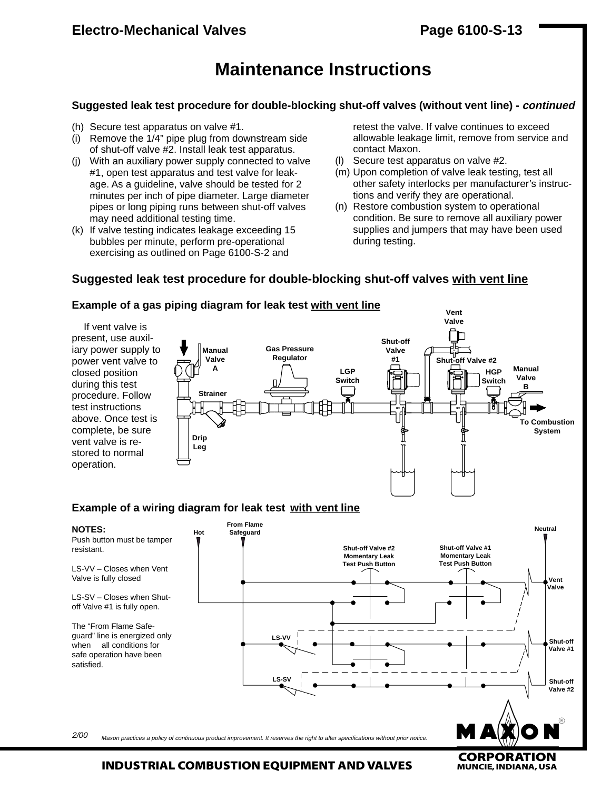# **Maintenance Instructions**

### **Suggested leak test procedure for double-blocking shut-off valves (without vent line) - continued**

- (h) Secure test apparatus on valve #1.
- (i) Remove the 1/4" pipe plug from downstream side of shut-off valve #2. Install leak test apparatus.
- (j) With an auxiliary power supply connected to valve #1, open test apparatus and test valve for leakage. As a guideline, valve should be tested for 2 minutes per inch of pipe diameter. Large diameter pipes or long piping runs between shut-off valves may need additional testing time.
- (k) If valve testing indicates leakage exceeding 15 bubbles per minute, perform pre-operational exercising as outlined on Page 6100-S-2 and

retest the valve. If valve continues to exceed allowable leakage limit, remove from service and contact Maxon.

- (l) Secure test apparatus on valve #2.
- (m) Upon completion of valve leak testing, test all other safety interlocks per manufacturer's instructions and verify they are operational.
- (n) Restore combustion system to operational condition. Be sure to remove all auxiliary power supplies and jumpers that may have been used during testing.

## **Suggested leak test procedure for double-blocking shut-off valves with vent line**



**Example of a gas piping diagram for leak test with vent line**

Maxon practices a policy of continuous product improvement. It reserves the right to alter specifications without prior notice. 2/00

**CORPORATION**<br>MUNCIE, INDIANA, USA